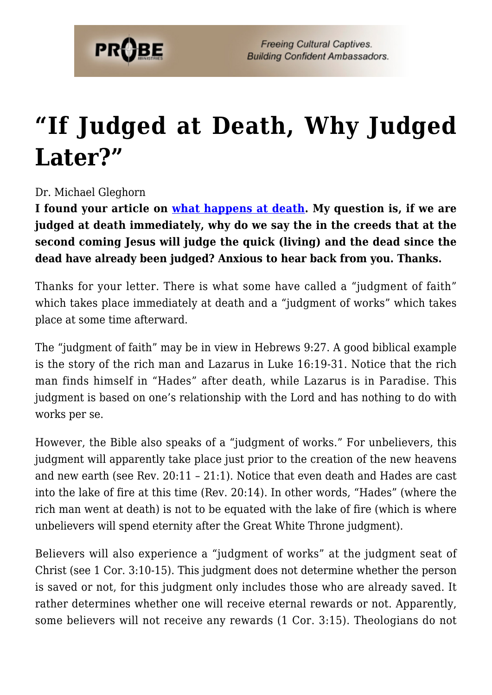

## **["If Judged at Death, Why Judged](https://probe.org/if-judged-at-death-why-judged-later/) [Later?"](https://probe.org/if-judged-at-death-why-judged-later/)**

## Dr. Michael Gleghorn

**I found your article on [what happens at death](https://www.probe.org/what-happens-after-death/). My question is, if we are judged at death immediately, why do we say the in the creeds that at the second coming Jesus will judge the quick (living) and the dead since the dead have already been judged? Anxious to hear back from you. Thanks.**

Thanks for your letter. There is what some have called a "judgment of faith" which takes place immediately at death and a "judgment of works" which takes place at some time afterward.

The "judgment of faith" may be in view in Hebrews 9:27. A good biblical example is the story of the rich man and Lazarus in Luke 16:19-31. Notice that the rich man finds himself in "Hades" after death, while Lazarus is in Paradise. This judgment is based on one's relationship with the Lord and has nothing to do with works per se.

However, the Bible also speaks of a "judgment of works." For unbelievers, this judgment will apparently take place just prior to the creation of the new heavens and new earth (see Rev. 20:11 – 21:1). Notice that even death and Hades are cast into the lake of fire at this time (Rev. 20:14). In other words, "Hades" (where the rich man went at death) is not to be equated with the lake of fire (which is where unbelievers will spend eternity after the Great White Throne judgment).

Believers will also experience a "judgment of works" at the judgment seat of Christ (see 1 Cor. 3:10-15). This judgment does not determine whether the person is saved or not, for this judgment only includes those who are already saved. It rather determines whether one will receive eternal rewards or not. Apparently, some believers will not receive any rewards (1 Cor. 3:15). Theologians do not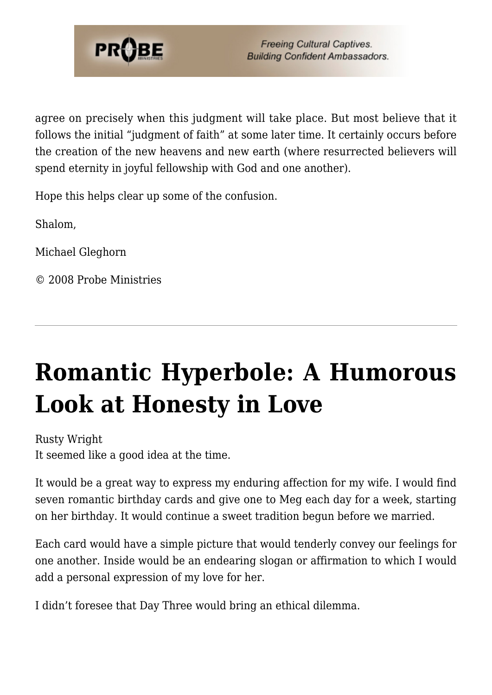

agree on precisely when this judgment will take place. But most believe that it follows the initial "judgment of faith" at some later time. It certainly occurs before the creation of the new heavens and new earth (where resurrected believers will spend eternity in joyful fellowship with God and one another).

Hope this helps clear up some of the confusion.

Shalom,

Michael Gleghorn

© 2008 Probe Ministries

## **[Romantic Hyperbole: A Humorous](https://probe.org/romantic-hyperbole-a-humorous-look-at-honesty-in-love/) [Look at Honesty in Love](https://probe.org/romantic-hyperbole-a-humorous-look-at-honesty-in-love/)**

Rusty Wright It seemed like a good idea at the time.

It would be a great way to express my enduring affection for my wife. I would find seven romantic birthday cards and give one to Meg each day for a week, starting on her birthday. It would continue a sweet tradition begun before we married.

Each card would have a simple picture that would tenderly convey our feelings for one another. Inside would be an endearing slogan or affirmation to which I would add a personal expression of my love for her.

I didn't foresee that Day Three would bring an ethical dilemma.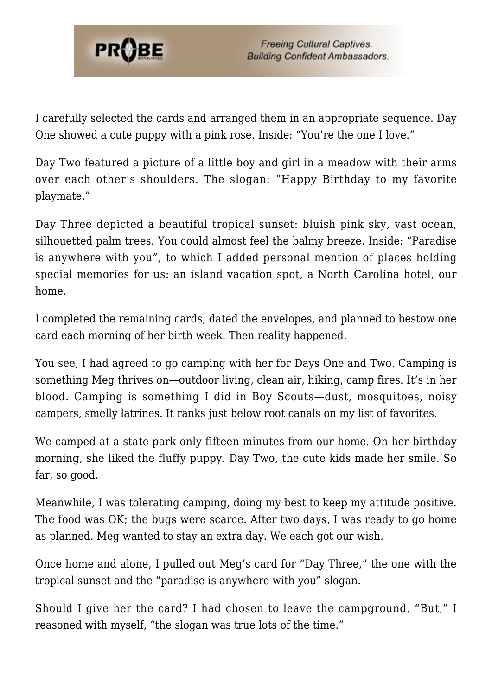

I carefully selected the cards and arranged them in an appropriate sequence. Day One showed a cute puppy with a pink rose. Inside: "You're the one I love."

Day Two featured a picture of a little boy and girl in a meadow with their arms over each other's shoulders. The slogan: "Happy Birthday to my favorite playmate."

Day Three depicted a beautiful tropical sunset: bluish pink sky, vast ocean, silhouetted palm trees. You could almost feel the balmy breeze. Inside: "Paradise is anywhere with you", to which I added personal mention of places holding special memories for us: an island vacation spot, a North Carolina hotel, our home.

I completed the remaining cards, dated the envelopes, and planned to bestow one card each morning of her birth week. Then reality happened.

You see, I had agreed to go camping with her for Days One and Two. Camping is something Meg thrives on—outdoor living, clean air, hiking, camp fires. It's in her blood. Camping is something I did in Boy Scouts—dust, mosquitoes, noisy campers, smelly latrines. It ranks just below root canals on my list of favorites.

We camped at a state park only fifteen minutes from our home. On her birthday morning, she liked the fluffy puppy. Day Two, the cute kids made her smile. So far, so good.

Meanwhile, I was tolerating camping, doing my best to keep my attitude positive. The food was OK; the bugs were scarce. After two days, I was ready to go home as planned. Meg wanted to stay an extra day. We each got our wish.

Once home and alone, I pulled out Meg's card for "Day Three," the one with the tropical sunset and the "paradise is anywhere with you" slogan.

Should I give her the card? I had chosen to leave the campground. "But," I reasoned with myself, "the slogan was true lots of the time."